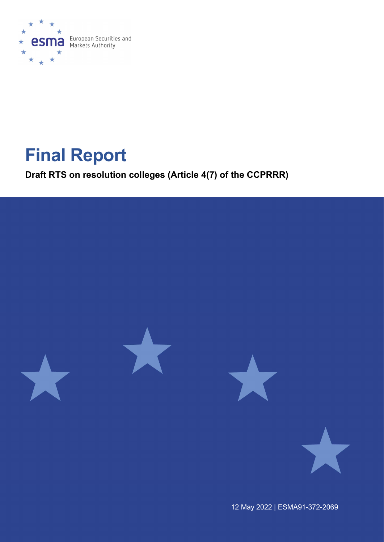

# Final Report

Draft RTS on resolution colleges (Article 4(7) of the CCPRRR)



12 May 2022 | ESMA91-372-2069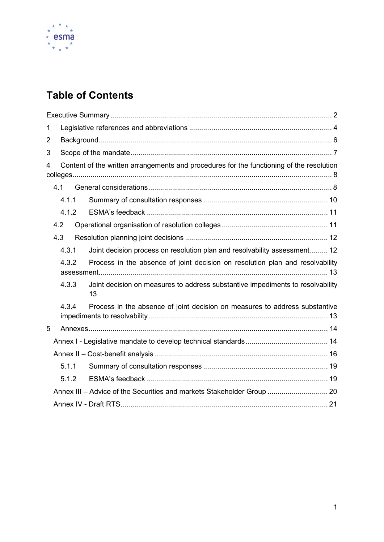

# Table of Contents

| 1              |     |       |                                                                                          |  |  |  |  |  |
|----------------|-----|-------|------------------------------------------------------------------------------------------|--|--|--|--|--|
| $\overline{2}$ |     |       |                                                                                          |  |  |  |  |  |
| 3              |     |       |                                                                                          |  |  |  |  |  |
| 4              |     |       | Content of the written arrangements and procedures for the functioning of the resolution |  |  |  |  |  |
|                |     |       |                                                                                          |  |  |  |  |  |
|                |     | 4.1.1 |                                                                                          |  |  |  |  |  |
|                |     | 4.1.2 |                                                                                          |  |  |  |  |  |
|                | 4.2 |       |                                                                                          |  |  |  |  |  |
|                | 4.3 |       |                                                                                          |  |  |  |  |  |
|                |     | 4.3.1 | Joint decision process on resolution plan and resolvability assessment 12                |  |  |  |  |  |
|                |     | 4.3.2 | Process in the absence of joint decision on resolution plan and resolvability            |  |  |  |  |  |
|                |     | 4.3.3 | Joint decision on measures to address substantive impediments to resolvability<br>13     |  |  |  |  |  |
|                |     | 4.3.4 | Process in the absence of joint decision on measures to address substantive              |  |  |  |  |  |
| 5              |     |       |                                                                                          |  |  |  |  |  |
|                |     |       |                                                                                          |  |  |  |  |  |
|                |     |       |                                                                                          |  |  |  |  |  |
|                |     | 5.1.1 |                                                                                          |  |  |  |  |  |
|                |     | 5.1.2 |                                                                                          |  |  |  |  |  |
|                |     |       | Annex III - Advice of the Securities and markets Stakeholder Group  20                   |  |  |  |  |  |
|                |     |       |                                                                                          |  |  |  |  |  |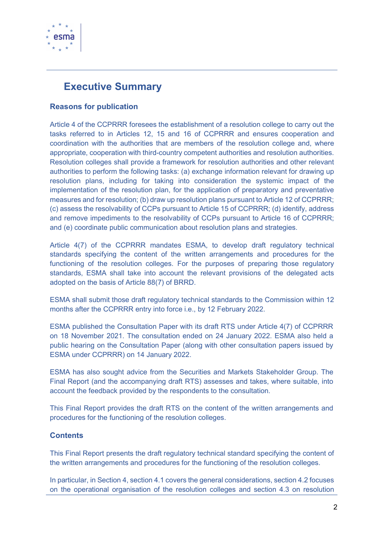

# Executive Summary

#### Reasons for publication

Article 4 of the CCPRRR foresees the establishment of a resolution college to carry out the tasks referred to in Articles 12, 15 and 16 of CCPRRR and ensures cooperation and coordination with the authorities that are members of the resolution college and, where appropriate, cooperation with third-country competent authorities and resolution authorities. Resolution colleges shall provide a framework for resolution authorities and other relevant authorities to perform the following tasks: (a) exchange information relevant for drawing up resolution plans, including for taking into consideration the systemic impact of the implementation of the resolution plan, for the application of preparatory and preventative measures and for resolution; (b) draw up resolution plans pursuant to Article 12 of CCPRRR; (c) assess the resolvability of CCPs pursuant to Article 15 of CCPRRR; (d) identify, address and remove impediments to the resolvability of CCPs pursuant to Article 16 of CCPRRR; and (e) coordinate public communication about resolution plans and strategies.

Article 4(7) of the CCPRRR mandates ESMA, to develop draft regulatory technical standards specifying the content of the written arrangements and procedures for the functioning of the resolution colleges. For the purposes of preparing those regulatory standards, ESMA shall take into account the relevant provisions of the delegated acts adopted on the basis of Article 88(7) of BRRD.

ESMA shall submit those draft regulatory technical standards to the Commission within 12 months after the CCPRRR entry into force i.e., by 12 February 2022.

ESMA published the Consultation Paper with its draft RTS under Article 4(7) of CCPRRR on 18 November 2021. The consultation ended on 24 January 2022. ESMA also held a public hearing on the Consultation Paper (along with other consultation papers issued by ESMA under CCPRRR) on 14 January 2022.

ESMA has also sought advice from the Securities and Markets Stakeholder Group. The Final Report (and the accompanying draft RTS) assesses and takes, where suitable, into account the feedback provided by the respondents to the consultation.

This Final Report provides the draft RTS on the content of the written arrangements and procedures for the functioning of the resolution colleges.

#### **Contents**

This Final Report presents the draft regulatory technical standard specifying the content of the written arrangements and procedures for the functioning of the resolution colleges.

In particular, in Section 4, section 4.1 covers the general considerations, section 4.2 focuses on the operational organisation of the resolution colleges and section 4.3 on resolution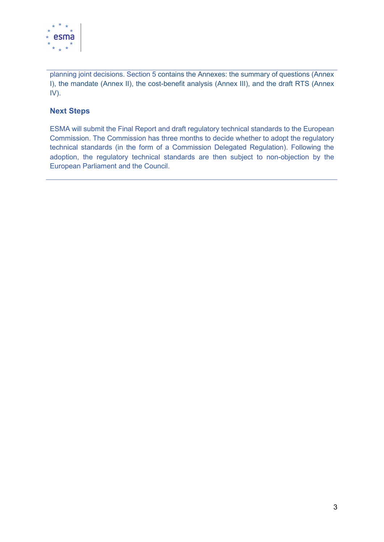

planning joint decisions. Section 5 contains the Annexes: the summary of questions (Annex I), the mandate (Annex II), the cost-benefit analysis (Annex III), and the draft RTS (Annex IV).

#### Next Steps

ESMA will submit the Final Report and draft regulatory technical standards to the European Commission. The Commission has three months to decide whether to adopt the regulatory technical standards (in the form of a Commission Delegated Regulation). Following the adoption, the regulatory technical standards are then subject to non-objection by the European Parliament and the Council.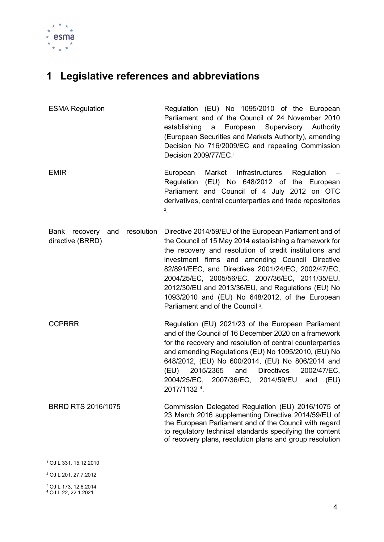

# 1 Legislative references and abbreviations

| <b>ESMA Regulation</b> | Regulation (EU) No 1095/2010 of the European          |  |
|------------------------|-------------------------------------------------------|--|
|                        | Parliament and of the Council of 24 November 2010     |  |
|                        | establishing a European Supervisory Authority         |  |
|                        | (European Securities and Markets Authority), amending |  |
|                        | Decision No 716/2009/EC and repealing Commission      |  |
|                        | Decision 2009/77/EC. <sup>1</sup>                     |  |
|                        |                                                       |  |

- EMIR European Market Infrastructures Regulation Regulation (EU) No 648/2012 of the European Parliament and Council of 4 July 2012 on OTC derivatives, central counterparties and trade repositories 2.
- Bank recovery and resolution directive (BRRD) Directive 2014/59/EU of the European Parliament and of the Council of 15 May 2014 establishing a framework for the recovery and resolution of credit institutions and investment firms and amending Council Directive 82/891/EEC, and Directives 2001/24/EC, 2002/47/EC, 2004/25/EC, 2005/56/EC, 2007/36/EC, 2011/35/EU, 2012/30/EU and 2013/36/EU, and Regulations (EU) No 1093/2010 and (EU) No 648/2012, of the European Parliament and of the Council<sup>3</sup>.
- CCPRRR Regulation (EU) 2021/23 of the European Parliament and of the Council of 16 December 2020 on a framework for the recovery and resolution of central counterparties and amending Regulations (EU) No 1095/2010, (EU) No 648/2012, (EU) No 600/2014, (EU) No 806/2014 and (EU) 2015/2365 and Directives 2002/47/EC, 2004/25/EC, 2007/36/EC, 2014/59/EU and (EU) 2017/1132 <sup>4</sup> .
- BRRD RTS 2016/1075 Commission Delegated Regulation (EU) 2016/1075 of 23 March 2016 supplementing Directive 2014/59/EU of the European Parliament and of the Council with regard to regulatory technical standards specifying the content of recovery plans, resolution plans and group resolution

<sup>1</sup> OJ L 331, 15.12.2010

<sup>2</sup> OJ L 201, 27.7.2012

<sup>3</sup> OJ L 173, 12.6.2014 4 OJ L 22, 22.1.2021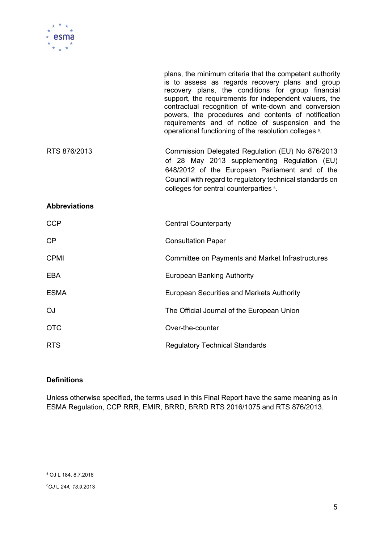

|                      | plans, the minimum criteria that the competent authority<br>is to assess as regards recovery plans and group<br>recovery plans, the conditions for group financial<br>support, the requirements for independent valuers, the<br>contractual recognition of write-down and conversion<br>powers, the procedures and contents of notification<br>requirements and of notice of suspension and the<br>operational functioning of the resolution colleges 5. |
|----------------------|----------------------------------------------------------------------------------------------------------------------------------------------------------------------------------------------------------------------------------------------------------------------------------------------------------------------------------------------------------------------------------------------------------------------------------------------------------|
| RTS 876/2013         | Commission Delegated Regulation (EU) No 876/2013<br>of 28 May 2013 supplementing Regulation (EU)<br>648/2012 of the European Parliament and of the<br>Council with regard to regulatory technical standards on<br>colleges for central counterparties 6.                                                                                                                                                                                                 |
| <b>Abbreviations</b> |                                                                                                                                                                                                                                                                                                                                                                                                                                                          |
| <b>CCP</b>           | <b>Central Counterparty</b>                                                                                                                                                                                                                                                                                                                                                                                                                              |
| <b>CP</b>            | <b>Consultation Paper</b>                                                                                                                                                                                                                                                                                                                                                                                                                                |
| <b>CPMI</b>          | Committee on Payments and Market Infrastructures                                                                                                                                                                                                                                                                                                                                                                                                         |
| <b>EBA</b>           | <b>European Banking Authority</b>                                                                                                                                                                                                                                                                                                                                                                                                                        |
| <b>ESMA</b>          | <b>European Securities and Markets Authority</b>                                                                                                                                                                                                                                                                                                                                                                                                         |
| <b>OJ</b>            | The Official Journal of the European Union                                                                                                                                                                                                                                                                                                                                                                                                               |
| <b>OTC</b>           | Over-the-counter                                                                                                                                                                                                                                                                                                                                                                                                                                         |
| <b>RTS</b>           | <b>Regulatory Technical Standards</b>                                                                                                                                                                                                                                                                                                                                                                                                                    |

#### **Definitions**

Unless otherwise specified, the terms used in this Final Report have the same meaning as in ESMA Regulation, CCP RRR, EMIR, BRRD, BRRD RTS 2016/1075 and RTS 876/2013.

<sup>5</sup> OJ L 184, 8.7.2016

<sup>6</sup>OJ L 244, 13.9.2013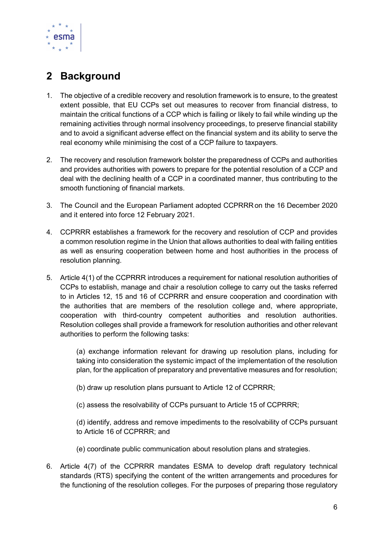

# 2 Background

- 1. The objective of a credible recovery and resolution framework is to ensure, to the greatest extent possible, that EU CCPs set out measures to recover from financial distress, to maintain the critical functions of a CCP which is failing or likely to fail while winding up the remaining activities through normal insolvency proceedings, to preserve financial stability and to avoid a significant adverse effect on the financial system and its ability to serve the real economy while minimising the cost of a CCP failure to taxpayers.
- 2. The recovery and resolution framework bolster the preparedness of CCPs and authorities and provides authorities with powers to prepare for the potential resolution of a CCP and deal with the declining health of a CCP in a coordinated manner, thus contributing to the smooth functioning of financial markets.
- 3. The Council and the European Parliament adopted CCPRRRon the 16 December 2020 and it entered into force 12 February 2021.
- 4. CCPRRR establishes a framework for the recovery and resolution of CCP and provides a common resolution regime in the Union that allows authorities to deal with failing entities as well as ensuring cooperation between home and host authorities in the process of resolution planning.
- 5. Article 4(1) of the CCPRRR introduces a requirement for national resolution authorities of CCPs to establish, manage and chair a resolution college to carry out the tasks referred to in Articles 12, 15 and 16 of CCPRRR and ensure cooperation and coordination with the authorities that are members of the resolution college and, where appropriate, cooperation with third-country competent authorities and resolution authorities. Resolution colleges shall provide a framework for resolution authorities and other relevant authorities to perform the following tasks:

(a) exchange information relevant for drawing up resolution plans, including for taking into consideration the systemic impact of the implementation of the resolution plan, for the application of preparatory and preventative measures and for resolution;

(b) draw up resolution plans pursuant to Article 12 of CCPRRR;

(c) assess the resolvability of CCPs pursuant to Article 15 of CCPRRR;

(d) identify, address and remove impediments to the resolvability of CCPs pursuant to Article 16 of CCPRRR; and

- (e) coordinate public communication about resolution plans and strategies.
- 6. Article 4(7) of the CCPRRR mandates ESMA to develop draft regulatory technical standards (RTS) specifying the content of the written arrangements and procedures for the functioning of the resolution colleges. For the purposes of preparing those regulatory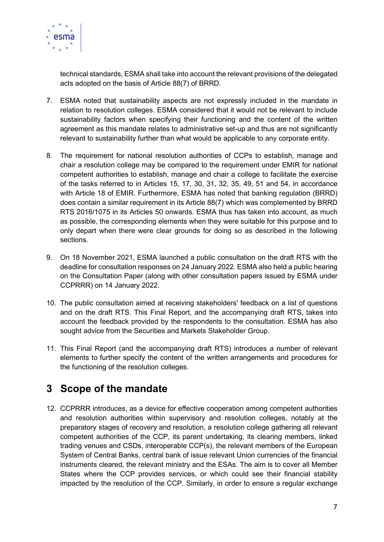

technical standards, ESMA shall take into account the relevant provisions of the delegated acts adopted on the basis of Article 88(7) of BRRD.

- 7. ESMA noted that sustainability aspects are not expressly included in the mandate in relation to resolution colleges. ESMA considered that it would not be relevant to include sustainability factors when specifying their functioning and the content of the written agreement as this mandate relates to administrative set-up and thus are not significantly relevant to sustainability further than what would be applicable to any corporate entity.
- 8. The requirement for national resolution authorities of CCPs to establish, manage and chair a resolution college may be compared to the requirement under EMIR for national competent authorities to establish, manage and chair a college to facilitate the exercise of the tasks referred to in Articles 15, 17, 30, 31, 32, 35, 49, 51 and 54, in accordance with Article 18 of EMIR. Furthermore, ESMA has noted that banking regulation (BRRD) does contain a similar requirement in its Article 88(7) which was complemented by BRRD RTS 2016/1075 in its Articles 50 onwards. ESMA thus has taken into account, as much as possible, the corresponding elements when they were suitable for this purpose and to only depart when there were clear grounds for doing so as described in the following sections.
- 9. On 18 November 2021, ESMA launched a public consultation on the draft RTS with the deadline for consultation responses on 24 January 2022. ESMA also held a public hearing on the Consultation Paper (along with other consultation papers issued by ESMA under CCPRRR) on 14 January 2022.
- 10. The public consultation aimed at receiving stakeholders' feedback on a list of questions and on the draft RTS. This Final Report, and the accompanying draft RTS, takes into account the feedback provided by the respondents to the consultation. ESMA has also sought advice from the Securities and Markets Stakeholder Group.
- 11. This Final Report (and the accompanying draft RTS) introduces a number of relevant elements to further specify the content of the written arrangements and procedures for the functioning of the resolution colleges.

# 3 Scope of the mandate

12. CCPRRR introduces, as a device for effective cooperation among competent authorities and resolution authorities within supervisory and resolution colleges, notably at the preparatory stages of recovery and resolution, a resolution college gathering all relevant competent authorities of the CCP, its parent undertaking, its clearing members, linked trading venues and CSDs, interoperable CCP(s), the relevant members of the European System of Central Banks, central bank of issue relevant Union currencies of the financial instruments cleared, the relevant ministry and the ESAs. The aim is to cover all Member States where the CCP provides services, or which could see their financial stability impacted by the resolution of the CCP. Similarly, in order to ensure a regular exchange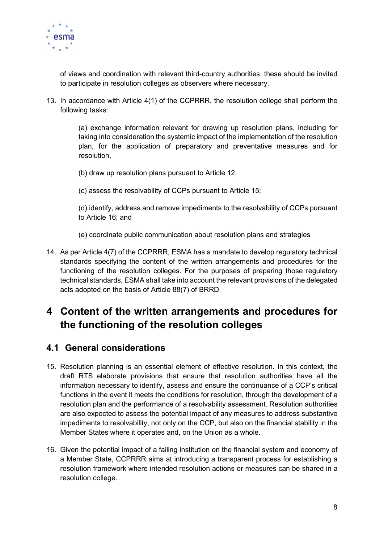

of views and coordination with relevant third-country authorities, these should be invited to participate in resolution colleges as observers where necessary.

13. In accordance with Article 4(1) of the CCPRRR, the resolution college shall perform the following tasks:

> (a) exchange information relevant for drawing up resolution plans, including for taking into consideration the systemic impact of the implementation of the resolution plan, for the application of preparatory and preventative measures and for resolution,

- (b) draw up resolution plans pursuant to Article 12,
- (c) assess the resolvability of CCPs pursuant to Article 15;

(d) identify, address and remove impediments to the resolvability of CCPs pursuant to Article 16; and

- (e) coordinate public communication about resolution plans and strategies
- 14. As per Article 4(7) of the CCPRRR, ESMA has a mandate to develop regulatory technical standards specifying the content of the written arrangements and procedures for the functioning of the resolution colleges. For the purposes of preparing those regulatory technical standards, ESMA shall take into account the relevant provisions of the delegated acts adopted on the basis of Article 88(7) of BRRD.

# 4 Content of the written arrangements and procedures for the functioning of the resolution colleges

### 4.1 General considerations

- 15. Resolution planning is an essential element of effective resolution. In this context, the draft RTS elaborate provisions that ensure that resolution authorities have all the information necessary to identify, assess and ensure the continuance of a CCP's critical functions in the event it meets the conditions for resolution, through the development of a resolution plan and the performance of a resolvability assessment. Resolution authorities are also expected to assess the potential impact of any measures to address substantive impediments to resolvability, not only on the CCP, but also on the financial stability in the Member States where it operates and, on the Union as a whole.
- 16. Given the potential impact of a failing institution on the financial system and economy of a Member State, CCPRRR aims at introducing a transparent process for establishing a resolution framework where intended resolution actions or measures can be shared in a resolution college.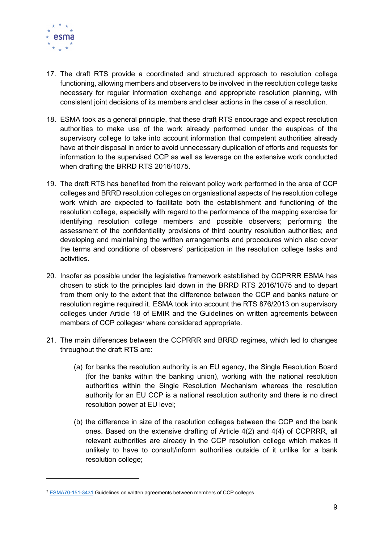

- 17. The draft RTS provide a coordinated and structured approach to resolution college functioning, allowing members and observers to be involved in the resolution college tasks necessary for regular information exchange and appropriate resolution planning, with consistent joint decisions of its members and clear actions in the case of a resolution.
- 18. ESMA took as a general principle, that these draft RTS encourage and expect resolution authorities to make use of the work already performed under the auspices of the supervisory college to take into account information that competent authorities already have at their disposal in order to avoid unnecessary duplication of efforts and requests for information to the supervised CCP as well as leverage on the extensive work conducted when drafting the BRRD RTS 2016/1075.
- 19. The draft RTS has benefited from the relevant policy work performed in the area of CCP colleges and BRRD resolution colleges on organisational aspects of the resolution college work which are expected to facilitate both the establishment and functioning of the resolution college, especially with regard to the performance of the mapping exercise for identifying resolution college members and possible observers; performing the assessment of the confidentiality provisions of third country resolution authorities; and developing and maintaining the written arrangements and procedures which also cover the terms and conditions of observers' participation in the resolution college tasks and activities.
- 20. Insofar as possible under the legislative framework established by CCPRRR ESMA has chosen to stick to the principles laid down in the BRRD RTS 2016/1075 and to depart from them only to the extent that the difference between the CCP and banks nature or resolution regime required it. ESMA took into account the RTS 876/2013 on supervisory colleges under Article 18 of EMIR and the Guidelines on written agreements between members of CCP colleges<sup>7</sup> where considered appropriate.
- 21. The main differences between the CCPRRR and BRRD regimes, which led to changes throughout the draft RTS are:
	- (a) for banks the resolution authority is an EU agency, the Single Resolution Board (for the banks within the banking union), working with the national resolution authorities within the Single Resolution Mechanism whereas the resolution authority for an EU CCP is a national resolution authority and there is no direct resolution power at EU level;
	- (b) the difference in size of the resolution colleges between the CCP and the bank ones. Based on the extensive drafting of Article 4(2) and 4(4) of CCPRRR, all relevant authorities are already in the CCP resolution college which makes it unlikely to have to consult/inform authorities outside of it unlike for a bank resolution college;

<sup>&</sup>lt;sup>7</sup> ESMA70-151-3431 Guidelines on written agreements between members of CCP colleges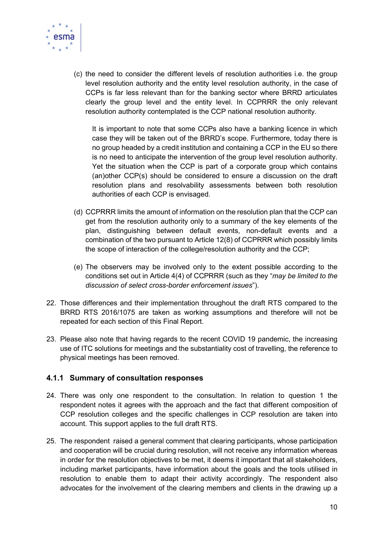

(c) the need to consider the different levels of resolution authorities i.e. the group level resolution authority and the entity level resolution authority, in the case of CCPs is far less relevant than for the banking sector where BRRD articulates clearly the group level and the entity level. In CCPRRR the only relevant resolution authority contemplated is the CCP national resolution authority.

It is important to note that some CCPs also have a banking licence in which case they will be taken out of the BRRD's scope. Furthermore, today there is no group headed by a credit institution and containing a CCP in the EU so there is no need to anticipate the intervention of the group level resolution authority. Yet the situation when the CCP is part of a corporate group which contains (an)other CCP(s) should be considered to ensure a discussion on the draft resolution plans and resolvability assessments between both resolution authorities of each CCP is envisaged.

- (d) CCPRRR limits the amount of information on the resolution plan that the CCP can get from the resolution authority only to a summary of the key elements of the plan, distinguishing between default events, non-default events and a combination of the two pursuant to Article 12(8) of CCPRRR which possibly limits the scope of interaction of the college/resolution authority and the CCP;
- (e) The observers may be involved only to the extent possible according to the conditions set out in Article 4(4) of CCPRRR (such as they "may be limited to the discussion of select cross-border enforcement issues").
- 22. Those differences and their implementation throughout the draft RTS compared to the BRRD RTS 2016/1075 are taken as working assumptions and therefore will not be repeated for each section of this Final Report.
- 23. Please also note that having regards to the recent COVID 19 pandemic, the increasing use of ITC solutions for meetings and the substantiality cost of travelling, the reference to physical meetings has been removed.

#### 4.1.1 Summary of consultation responses

- 24. There was only one respondent to the consultation. In relation to question 1 the respondent notes it agrees with the approach and the fact that different composition of CCP resolution colleges and the specific challenges in CCP resolution are taken into account. This support applies to the full draft RTS.
- 25. The respondent raised a general comment that clearing participants, whose participation and cooperation will be crucial during resolution, will not receive any information whereas in order for the resolution objectives to be met, it deems it important that all stakeholders, including market participants, have information about the goals and the tools utilised in resolution to enable them to adapt their activity accordingly. The respondent also advocates for the involvement of the clearing members and clients in the drawing up a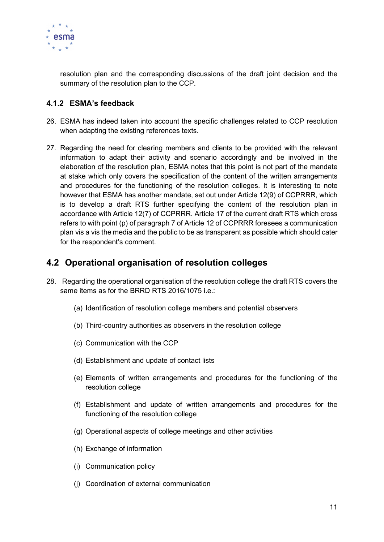

resolution plan and the corresponding discussions of the draft joint decision and the summary of the resolution plan to the CCP.

#### 4.1.2 ESMA's feedback

- 26. ESMA has indeed taken into account the specific challenges related to CCP resolution when adapting the existing references texts.
- 27. Regarding the need for clearing members and clients to be provided with the relevant information to adapt their activity and scenario accordingly and be involved in the elaboration of the resolution plan, ESMA notes that this point is not part of the mandate at stake which only covers the specification of the content of the written arrangements and procedures for the functioning of the resolution colleges. It is interesting to note however that ESMA has another mandate, set out under Article 12(9) of CCPRRR, which is to develop a draft RTS further specifying the content of the resolution plan in accordance with Article 12(7) of CCPRRR. Article 17 of the current draft RTS which cross refers to with point (p) of paragraph 7 of Article 12 of CCPRRR foresees a communication plan vis a vis the media and the public to be as transparent as possible which should cater for the respondent's comment.

### 4.2 Operational organisation of resolution colleges

- 28. Regarding the operational organisation of the resolution college the draft RTS covers the same items as for the BRRD RTS 2016/1075 i.e.:
	- (a) Identification of resolution college members and potential observers
	- (b) Third-country authorities as observers in the resolution college
	- (c) Communication with the CCP
	- (d) Establishment and update of contact lists
	- (e) Elements of written arrangements and procedures for the functioning of the resolution college
	- (f) Establishment and update of written arrangements and procedures for the functioning of the resolution college
	- (g) Operational aspects of college meetings and other activities
	- (h) Exchange of information
	- (i) Communication policy
	- (j) Coordination of external communication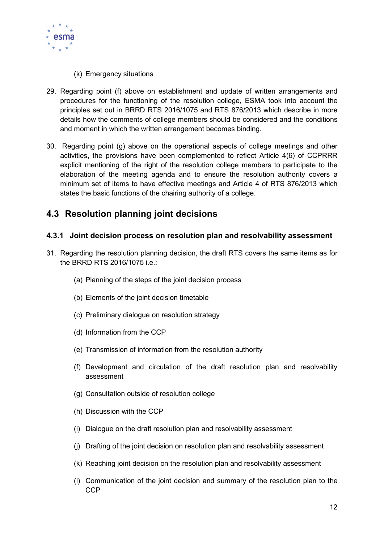

- (k) Emergency situations
- 29. Regarding point (f) above on establishment and update of written arrangements and procedures for the functioning of the resolution college, ESMA took into account the principles set out in BRRD RTS 2016/1075 and RTS 876/2013 which describe in more details how the comments of college members should be considered and the conditions and moment in which the written arrangement becomes binding.
- 30. Regarding point (g) above on the operational aspects of college meetings and other activities, the provisions have been complemented to reflect Article 4(6) of CCPRRR explicit mentioning of the right of the resolution college members to participate to the elaboration of the meeting agenda and to ensure the resolution authority covers a minimum set of items to have effective meetings and Article 4 of RTS 876/2013 which states the basic functions of the chairing authority of a college.

### 4.3 Resolution planning joint decisions

#### 4.3.1 Joint decision process on resolution plan and resolvability assessment

- 31. Regarding the resolution planning decision, the draft RTS covers the same items as for the BRRD RTS 2016/1075 i.e.:
	- (a) Planning of the steps of the joint decision process
	- (b) Elements of the joint decision timetable
	- (c) Preliminary dialogue on resolution strategy
	- (d) Information from the CCP
	- (e) Transmission of information from the resolution authority
	- (f) Development and circulation of the draft resolution plan and resolvability assessment
	- (g) Consultation outside of resolution college
	- (h) Discussion with the CCP
	- (i) Dialogue on the draft resolution plan and resolvability assessment
	- (j) Drafting of the joint decision on resolution plan and resolvability assessment
	- (k) Reaching joint decision on the resolution plan and resolvability assessment
	- (l) Communication of the joint decision and summary of the resolution plan to the **CCP**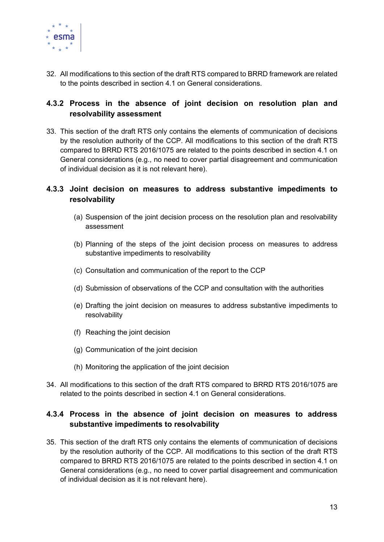

32. All modifications to this section of the draft RTS compared to BRRD framework are related to the points described in section 4.1 on General considerations.

#### 4.3.2 Process in the absence of joint decision on resolution plan and resolvability assessment

33. This section of the draft RTS only contains the elements of communication of decisions by the resolution authority of the CCP. All modifications to this section of the draft RTS compared to BRRD RTS 2016/1075 are related to the points described in section 4.1 on General considerations (e.g., no need to cover partial disagreement and communication of individual decision as it is not relevant here).

#### 4.3.3 Joint decision on measures to address substantive impediments to resolvability

- (a) Suspension of the joint decision process on the resolution plan and resolvability assessment
- (b) Planning of the steps of the joint decision process on measures to address substantive impediments to resolvability
- (c) Consultation and communication of the report to the CCP
- (d) Submission of observations of the CCP and consultation with the authorities
- (e) Drafting the joint decision on measures to address substantive impediments to resolvability
- (f) Reaching the joint decision
- (g) Communication of the joint decision
- (h) Monitoring the application of the joint decision
- 34. All modifications to this section of the draft RTS compared to BRRD RTS 2016/1075 are related to the points described in section 4.1 on General considerations.

### 4.3.4 Process in the absence of joint decision on measures to address substantive impediments to resolvability

35. This section of the draft RTS only contains the elements of communication of decisions by the resolution authority of the CCP. All modifications to this section of the draft RTS compared to BRRD RTS 2016/1075 are related to the points described in section 4.1 on General considerations (e.g., no need to cover partial disagreement and communication of individual decision as it is not relevant here).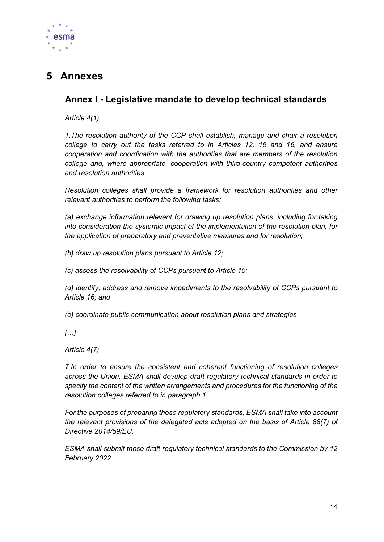

# 5 Annexes

### Annex I - Legislative mandate to develop technical standards

Article 4(1)

1.The resolution authority of the CCP shall establish, manage and chair a resolution college to carry out the tasks referred to in Articles 12, 15 and 16, and ensure cooperation and coordination with the authorities that are members of the resolution college and, where appropriate, cooperation with third-country competent authorities and resolution authorities.

Resolution colleges shall provide a framework for resolution authorities and other relevant authorities to perform the following tasks:

(a) exchange information relevant for drawing up resolution plans, including for taking into consideration the systemic impact of the implementation of the resolution plan, for the application of preparatory and preventative measures and for resolution;

(b) draw up resolution plans pursuant to Article 12;

(c) assess the resolvability of CCPs pursuant to Article 15;

(d) identify, address and remove impediments to the resolvability of CCPs pursuant to Article 16; and

(e) coordinate public communication about resolution plans and strategies

 $\overline{L}$ ...

Article 4(7)

7.In order to ensure the consistent and coherent functioning of resolution colleges across the Union, ESMA shall develop draft regulatory technical standards in order to specify the content of the written arrangements and procedures for the functioning of the resolution colleges referred to in paragraph 1.

For the purposes of preparing those regulatory standards, ESMA shall take into account the relevant provisions of the delegated acts adopted on the basis of Article 88(7) of Directive 2014/59/EU.

ESMA shall submit those draft regulatory technical standards to the Commission by 12 February 2022.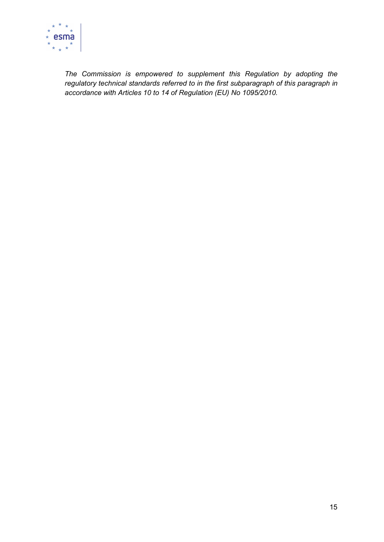

The Commission is empowered to supplement this Regulation by adopting the regulatory technical standards referred to in the first subparagraph of this paragraph in accordance with Articles 10 to 14 of Regulation (EU) No 1095/2010.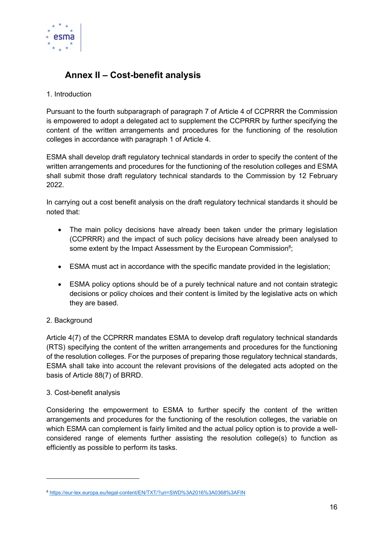

## Annex II – Cost-benefit analysis

#### 1. Introduction

Pursuant to the fourth subparagraph of paragraph 7 of Article 4 of CCPRRR the Commission is empowered to adopt a delegated act to supplement the CCPRRR by further specifying the content of the written arrangements and procedures for the functioning of the resolution colleges in accordance with paragraph 1 of Article 4.

ESMA shall develop draft regulatory technical standards in order to specify the content of the written arrangements and procedures for the functioning of the resolution colleges and ESMA shall submit those draft regulatory technical standards to the Commission by 12 February 2022.

In carrying out a cost benefit analysis on the draft regulatory technical standards it should be noted that:

- The main policy decisions have already been taken under the primary legislation (CCPRRR) and the impact of such policy decisions have already been analysed to some extent by the Impact Assessment by the European Commission<sup>8</sup>;
- ESMA must act in accordance with the specific mandate provided in the legislation;
- ESMA policy options should be of a purely technical nature and not contain strategic decisions or policy choices and their content is limited by the legislative acts on which they are based.

#### 2. Background

Article 4(7) of the CCPRRR mandates ESMA to develop draft regulatory technical standards (RTS) specifying the content of the written arrangements and procedures for the functioning of the resolution colleges. For the purposes of preparing those regulatory technical standards, ESMA shall take into account the relevant provisions of the delegated acts adopted on the basis of Article 88(7) of BRRD.

#### 3. Cost-benefit analysis

Considering the empowerment to ESMA to further specify the content of the written arrangements and procedures for the functioning of the resolution colleges, the variable on which ESMA can complement is fairly limited and the actual policy option is to provide a wellconsidered range of elements further assisting the resolution college(s) to function as efficiently as possible to perform its tasks.

<sup>8</sup> https://eur-lex.europa.eu/legal-content/EN/TXT/?uri=SWD%3A2016%3A0368%3AFIN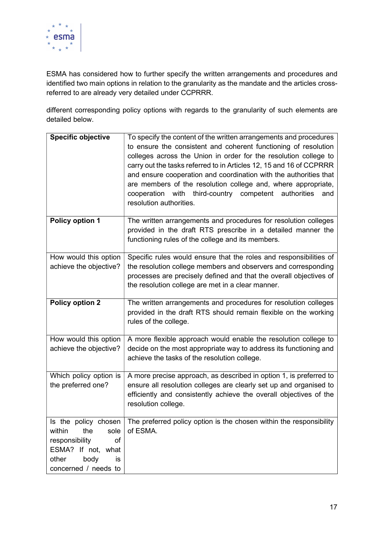

ESMA has considered how to further specify the written arrangements and procedures and identified two main options in relation to the granularity as the mandate and the articles crossreferred to are already very detailed under CCPRRR.

different corresponding policy options with regards to the granularity of such elements are detailed below.

| <b>Specific objective</b>                                                                                          | To specify the content of the written arrangements and procedures<br>to ensure the consistent and coherent functioning of resolution<br>colleges across the Union in order for the resolution college to<br>carry out the tasks referred to in Articles 12, 15 and 16 of CCPRRR<br>and ensure cooperation and coordination with the authorities that<br>are members of the resolution college and, where appropriate,<br>cooperation with third-country competent authorities<br>and<br>resolution authorities. |
|--------------------------------------------------------------------------------------------------------------------|-----------------------------------------------------------------------------------------------------------------------------------------------------------------------------------------------------------------------------------------------------------------------------------------------------------------------------------------------------------------------------------------------------------------------------------------------------------------------------------------------------------------|
| Policy option 1                                                                                                    | The written arrangements and procedures for resolution colleges<br>provided in the draft RTS prescribe in a detailed manner the<br>functioning rules of the college and its members.                                                                                                                                                                                                                                                                                                                            |
| How would this option<br>achieve the objective?                                                                    | Specific rules would ensure that the roles and responsibilities of<br>the resolution college members and observers and corresponding<br>processes are precisely defined and that the overall objectives of<br>the resolution college are met in a clear manner.                                                                                                                                                                                                                                                 |
| <b>Policy option 2</b>                                                                                             | The written arrangements and procedures for resolution colleges<br>provided in the draft RTS should remain flexible on the working<br>rules of the college.                                                                                                                                                                                                                                                                                                                                                     |
| How would this option<br>achieve the objective?                                                                    | A more flexible approach would enable the resolution college to<br>decide on the most appropriate way to address its functioning and<br>achieve the tasks of the resolution college.                                                                                                                                                                                                                                                                                                                            |
| Which policy option is<br>the preferred one?                                                                       | A more precise approach, as described in option 1, is preferred to<br>ensure all resolution colleges are clearly set up and organised to<br>efficiently and consistently achieve the overall objectives of the<br>resolution college.                                                                                                                                                                                                                                                                           |
| within<br>the<br>sole<br>of<br>responsibility<br>ESMA? If not, what<br>body<br>other<br>is<br>concerned / needs to | Is the policy chosen $\vert$ The preferred policy option is the chosen within the responsibility<br>of ESMA.                                                                                                                                                                                                                                                                                                                                                                                                    |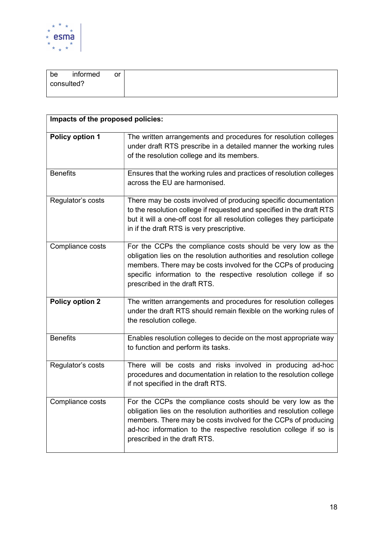

| be         | informed | or |
|------------|----------|----|
| consulted? |          |    |
|            |          |    |

| Impacts of the proposed policies: |                                                                                                                                                                                                                                                                                                           |  |  |  |
|-----------------------------------|-----------------------------------------------------------------------------------------------------------------------------------------------------------------------------------------------------------------------------------------------------------------------------------------------------------|--|--|--|
| Policy option 1                   | The written arrangements and procedures for resolution colleges<br>under draft RTS prescribe in a detailed manner the working rules<br>of the resolution college and its members.                                                                                                                         |  |  |  |
| <b>Benefits</b>                   | Ensures that the working rules and practices of resolution colleges<br>across the EU are harmonised.                                                                                                                                                                                                      |  |  |  |
| Regulator's costs                 | There may be costs involved of producing specific documentation<br>to the resolution college if requested and specified in the draft RTS<br>but it will a one-off cost for all resolution colleges they participate<br>in if the draft RTS is very prescriptive.                                          |  |  |  |
| Compliance costs                  | For the CCPs the compliance costs should be very low as the<br>obligation lies on the resolution authorities and resolution college<br>members. There may be costs involved for the CCPs of producing<br>specific information to the respective resolution college if so<br>prescribed in the draft RTS.  |  |  |  |
| Policy option 2                   | The written arrangements and procedures for resolution colleges<br>under the draft RTS should remain flexible on the working rules of<br>the resolution college.                                                                                                                                          |  |  |  |
| <b>Benefits</b>                   | Enables resolution colleges to decide on the most appropriate way<br>to function and perform its tasks.                                                                                                                                                                                                   |  |  |  |
| Regulator's costs                 | There will be costs and risks involved in producing ad-hoc<br>procedures and documentation in relation to the resolution college<br>if not specified in the draft RTS.                                                                                                                                    |  |  |  |
| Compliance costs                  | For the CCPs the compliance costs should be very low as the<br>obligation lies on the resolution authorities and resolution college<br>members. There may be costs involved for the CCPs of producing<br>ad-hoc information to the respective resolution college if so is<br>prescribed in the draft RTS. |  |  |  |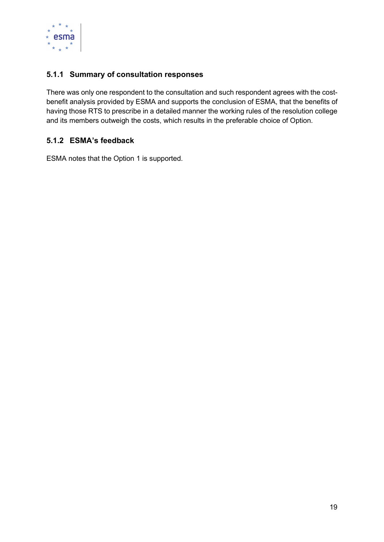

#### 5.1.1 Summary of consultation responses

There was only one respondent to the consultation and such respondent agrees with the costbenefit analysis provided by ESMA and supports the conclusion of ESMA, that the benefits of having those RTS to prescribe in a detailed manner the working rules of the resolution college and its members outweigh the costs, which results in the preferable choice of Option.

#### 5.1.2 ESMA's feedback

ESMA notes that the Option 1 is supported.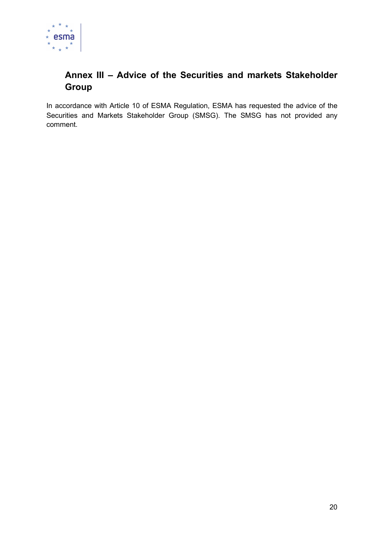

## Annex III – Advice of the Securities and markets Stakeholder Group

In accordance with Article 10 of ESMA Regulation, ESMA has requested the advice of the Securities and Markets Stakeholder Group (SMSG). The SMSG has not provided any comment.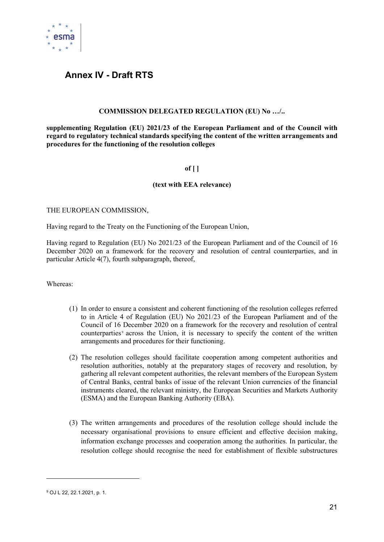

### Annex IV - Draft RTS

#### COMMISSION DELEGATED REGULATION (EU) No …/..

supplementing Regulation (EU) 2021/23 of the European Parliament and of the Council with regard to regulatory technical standards specifying the content of the written arrangements and procedures for the functioning of the resolution colleges

#### of  $[ ]$

#### (text with EEA relevance)

#### THE EUROPEAN COMMISSION,

Having regard to the Treaty on the Functioning of the European Union,

Having regard to Regulation (EU) No 2021/23 of the European Parliament and of the Council of 16 December 2020 on a framework for the recovery and resolution of central counterparties, and in particular Article 4(7), fourth subparagraph, thereof,

Whereas:

- (1) In order to ensure a consistent and coherent functioning of the resolution colleges referred to in Article 4 of Regulation (EU) No 2021/23 of the European Parliament and of the Council of 16 December 2020 on a framework for the recovery and resolution of central counterparties<sup>9</sup> across the Union, it is necessary to specify the content of the written arrangements and procedures for their functioning.
- (2) The resolution colleges should facilitate cooperation among competent authorities and resolution authorities, notably at the preparatory stages of recovery and resolution, by gathering all relevant competent authorities, the relevant members of the European System of Central Banks, central banks of issue of the relevant Union currencies of the financial instruments cleared, the relevant ministry, the European Securities and Markets Authority (ESMA) and the European Banking Authority (EBA).
- (3) The written arrangements and procedures of the resolution college should include the necessary organisational provisions to ensure efficient and effective decision making, information exchange processes and cooperation among the authorities. In particular, the resolution college should recognise the need for establishment of flexible substructures

<sup>9</sup> OJ L 22, 22.1.2021, p. 1.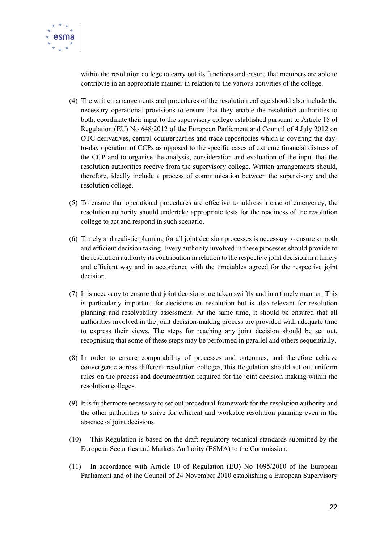

within the resolution college to carry out its functions and ensure that members are able to contribute in an appropriate manner in relation to the various activities of the college.

- (4) The written arrangements and procedures of the resolution college should also include the necessary operational provisions to ensure that they enable the resolution authorities to both, coordinate their input to the supervisory college established pursuant to Article 18 of Regulation (EU) No 648/2012 of the European Parliament and Council of 4 July 2012 on OTC derivatives, central counterparties and trade repositories which is covering the dayto-day operation of CCPs as opposed to the specific cases of extreme financial distress of the CCP and to organise the analysis, consideration and evaluation of the input that the resolution authorities receive from the supervisory college. Written arrangements should, therefore, ideally include a process of communication between the supervisory and the resolution college.
- (5) To ensure that operational procedures are effective to address a case of emergency, the resolution authority should undertake appropriate tests for the readiness of the resolution college to act and respond in such scenario.
- (6) Timely and realistic planning for all joint decision processes is necessary to ensure smooth and efficient decision taking. Every authority involved in these processes should provide to the resolution authority its contribution in relation to the respective joint decision in a timely and efficient way and in accordance with the timetables agreed for the respective joint decision.
- (7) It is necessary to ensure that joint decisions are taken swiftly and in a timely manner. This is particularly important for decisions on resolution but is also relevant for resolution planning and resolvability assessment. At the same time, it should be ensured that all authorities involved in the joint decision-making process are provided with adequate time to express their views. The steps for reaching any joint decision should be set out, recognising that some of these steps may be performed in parallel and others sequentially.
- (8) In order to ensure comparability of processes and outcomes, and therefore achieve convergence across different resolution colleges, this Regulation should set out uniform rules on the process and documentation required for the joint decision making within the resolution colleges.
- (9) It is furthermore necessary to set out procedural framework for the resolution authority and the other authorities to strive for efficient and workable resolution planning even in the absence of joint decisions.
- (10) This Regulation is based on the draft regulatory technical standards submitted by the European Securities and Markets Authority (ESMA) to the Commission.
- (11) In accordance with Article 10 of Regulation (EU) No 1095/2010 of the European Parliament and of the Council of 24 November 2010 establishing a European Supervisory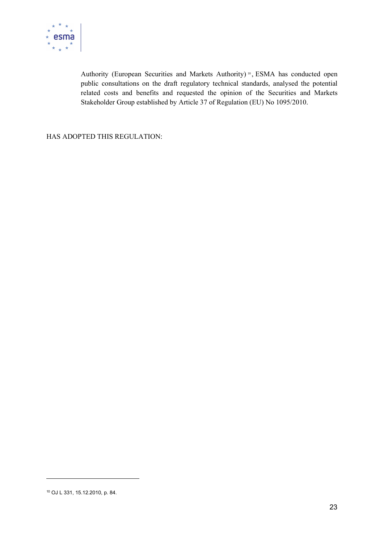

Authority (European Securities and Markets Authority)<sup>10</sup>, ESMA has conducted open public consultations on the draft regulatory technical standards, analysed the potential related costs and benefits and requested the opinion of the Securities and Markets Stakeholder Group established by Article 37 of Regulation (EU) No 1095/2010.

HAS ADOPTED THIS REGULATION:

<sup>10</sup> OJ L 331, 15.12.2010, p. 84.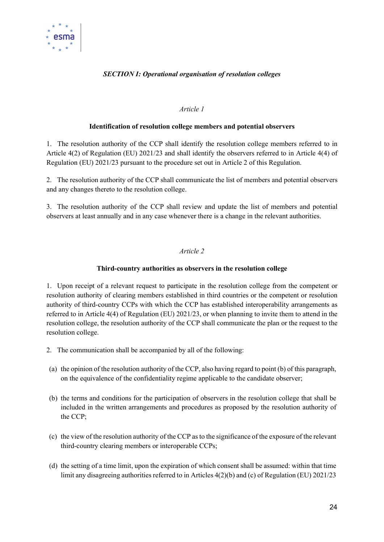

#### SECTION I: Operational organisation of resolution colleges

#### Article 1

#### Identification of resolution college members and potential observers

1. The resolution authority of the CCP shall identify the resolution college members referred to in Article 4(2) of Regulation (EU) 2021/23 and shall identify the observers referred to in Article 4(4) of Regulation (EU) 2021/23 pursuant to the procedure set out in Article 2 of this Regulation.

2. The resolution authority of the CCP shall communicate the list of members and potential observers and any changes thereto to the resolution college.

3. The resolution authority of the CCP shall review and update the list of members and potential observers at least annually and in any case whenever there is a change in the relevant authorities.

#### Article 2

#### Third-country authorities as observers in the resolution college

1. Upon receipt of a relevant request to participate in the resolution college from the competent or resolution authority of clearing members established in third countries or the competent or resolution authority of third-country CCPs with which the CCP has established interoperability arrangements as referred to in Article 4(4) of Regulation (EU) 2021/23, or when planning to invite them to attend in the resolution college, the resolution authority of the CCP shall communicate the plan or the request to the resolution college.

- 2. The communication shall be accompanied by all of the following:
- (a) the opinion of the resolution authority of the CCP, also having regard to point (b) of this paragraph, on the equivalence of the confidentiality regime applicable to the candidate observer;
- (b) the terms and conditions for the participation of observers in the resolution college that shall be included in the written arrangements and procedures as proposed by the resolution authority of the CCP;
- (c) the view of the resolution authority of the CCP as to the significance of the exposure of the relevant third-country clearing members or interoperable CCPs;
- (d) the setting of a time limit, upon the expiration of which consent shall be assumed: within that time limit any disagreeing authorities referred to in Articles 4(2)(b) and (c) of Regulation (EU) 2021/23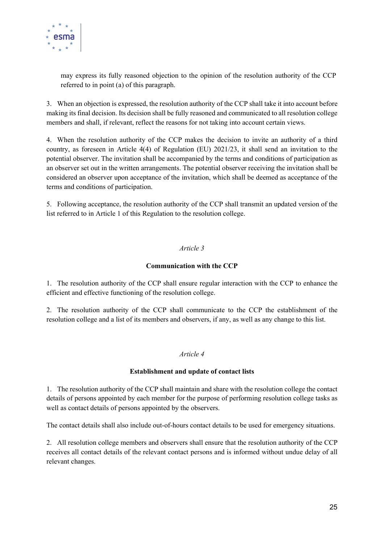

may express its fully reasoned objection to the opinion of the resolution authority of the CCP referred to in point (a) of this paragraph.

3. When an objection is expressed, the resolution authority of the CCP shall take it into account before making its final decision. Its decision shall be fully reasoned and communicated to all resolution college members and shall, if relevant, reflect the reasons for not taking into account certain views.

4. When the resolution authority of the CCP makes the decision to invite an authority of a third country, as foreseen in Article 4(4) of Regulation (EU) 2021/23, it shall send an invitation to the potential observer. The invitation shall be accompanied by the terms and conditions of participation as an observer set out in the written arrangements. The potential observer receiving the invitation shall be considered an observer upon acceptance of the invitation, which shall be deemed as acceptance of the terms and conditions of participation.

5. Following acceptance, the resolution authority of the CCP shall transmit an updated version of the list referred to in Article 1 of this Regulation to the resolution college.

#### Article 3

#### Communication with the CCP

1. The resolution authority of the CCP shall ensure regular interaction with the CCP to enhance the efficient and effective functioning of the resolution college.

2. The resolution authority of the CCP shall communicate to the CCP the establishment of the resolution college and a list of its members and observers, if any, as well as any change to this list.

#### Article 4

#### Establishment and update of contact lists

1. The resolution authority of the CCP shall maintain and share with the resolution college the contact details of persons appointed by each member for the purpose of performing resolution college tasks as well as contact details of persons appointed by the observers.

The contact details shall also include out-of-hours contact details to be used for emergency situations.

2. All resolution college members and observers shall ensure that the resolution authority of the CCP receives all contact details of the relevant contact persons and is informed without undue delay of all relevant changes.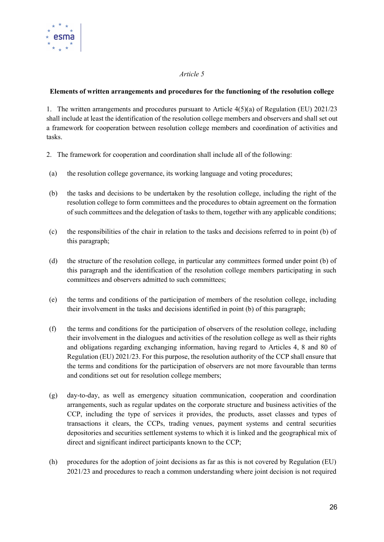

#### Elements of written arrangements and procedures for the functioning of the resolution college

1. The written arrangements and procedures pursuant to Article 4(5)(a) of Regulation (EU) 2021/23 shall include at least the identification of the resolution college members and observers and shall set out a framework for cooperation between resolution college members and coordination of activities and tasks.

- 2. The framework for cooperation and coordination shall include all of the following:
- (a) the resolution college governance, its working language and voting procedures;
- (b) the tasks and decisions to be undertaken by the resolution college, including the right of the resolution college to form committees and the procedures to obtain agreement on the formation of such committees and the delegation of tasks to them, together with any applicable conditions;
- (c) the responsibilities of the chair in relation to the tasks and decisions referred to in point (b) of this paragraph;
- (d) the structure of the resolution college, in particular any committees formed under point (b) of this paragraph and the identification of the resolution college members participating in such committees and observers admitted to such committees;
- (e) the terms and conditions of the participation of members of the resolution college, including their involvement in the tasks and decisions identified in point (b) of this paragraph;
- (f) the terms and conditions for the participation of observers of the resolution college, including their involvement in the dialogues and activities of the resolution college as well as their rights and obligations regarding exchanging information, having regard to Articles 4, 8 and 80 of Regulation (EU) 2021/23. For this purpose, the resolution authority of the CCP shall ensure that the terms and conditions for the participation of observers are not more favourable than terms and conditions set out for resolution college members;
- (g) day-to-day, as well as emergency situation communication, cooperation and coordination arrangements, such as regular updates on the corporate structure and business activities of the CCP, including the type of services it provides, the products, asset classes and types of transactions it clears, the CCPs, trading venues, payment systems and central securities depositories and securities settlement systems to which it is linked and the geographical mix of direct and significant indirect participants known to the CCP;
- (h) procedures for the adoption of joint decisions as far as this is not covered by Regulation (EU) 2021/23 and procedures to reach a common understanding where joint decision is not required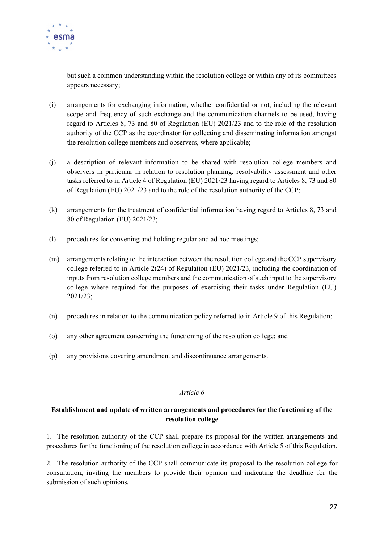

but such a common understanding within the resolution college or within any of its committees appears necessary;

- (i) arrangements for exchanging information, whether confidential or not, including the relevant scope and frequency of such exchange and the communication channels to be used, having regard to Articles 8, 73 and 80 of Regulation (EU) 2021/23 and to the role of the resolution authority of the CCP as the coordinator for collecting and disseminating information amongst the resolution college members and observers, where applicable;
- (j) a description of relevant information to be shared with resolution college members and observers in particular in relation to resolution planning, resolvability assessment and other tasks referred to in Article 4 of Regulation (EU) 2021/23 having regard to Articles 8, 73 and 80 of Regulation (EU) 2021/23 and to the role of the resolution authority of the CCP;
- (k) arrangements for the treatment of confidential information having regard to Articles 8, 73 and 80 of Regulation (EU) 2021/23;
- (l) procedures for convening and holding regular and ad hoc meetings;
- (m) arrangements relating to the interaction between the resolution college and the CCP supervisory college referred to in Article 2(24) of Regulation (EU) 2021/23, including the coordination of inputs from resolution college members and the communication of such input to the supervisory college where required for the purposes of exercising their tasks under Regulation (EU) 2021/23;
- (n) procedures in relation to the communication policy referred to in Article 9 of this Regulation;
- (o) any other agreement concerning the functioning of the resolution college; and
- (p) any provisions covering amendment and discontinuance arrangements.

#### Article 6

#### Establishment and update of written arrangements and procedures for the functioning of the resolution college

1. The resolution authority of the CCP shall prepare its proposal for the written arrangements and procedures for the functioning of the resolution college in accordance with Article 5 of this Regulation.

2. The resolution authority of the CCP shall communicate its proposal to the resolution college for consultation, inviting the members to provide their opinion and indicating the deadline for the submission of such opinions.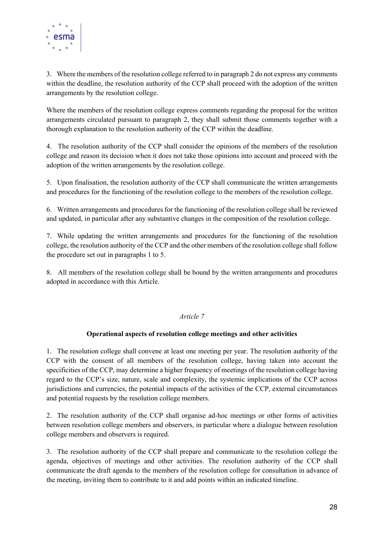

3. Where the members of the resolution college referred to in paragraph 2 do not express any comments within the deadline, the resolution authority of the CCP shall proceed with the adoption of the written arrangements by the resolution college.

Where the members of the resolution college express comments regarding the proposal for the written arrangements circulated pursuant to paragraph 2, they shall submit those comments together with a thorough explanation to the resolution authority of the CCP within the deadline.

4. The resolution authority of the CCP shall consider the opinions of the members of the resolution college and reason its decision when it does not take those opinions into account and proceed with the adoption of the written arrangements by the resolution college.

5. Upon finalisation, the resolution authority of the CCP shall communicate the written arrangements and procedures for the functioning of the resolution college to the members of the resolution college.

6. Written arrangements and procedures for the functioning of the resolution college shall be reviewed and updated, in particular after any substantive changes in the composition of the resolution college.

7. While updating the written arrangements and procedures for the functioning of the resolution college, the resolution authority of the CCP and the other members of the resolution college shall follow the procedure set out in paragraphs 1 to 5.

8. All members of the resolution college shall be bound by the written arrangements and procedures adopted in accordance with this Article.

#### Article 7

#### Operational aspects of resolution college meetings and other activities

1. The resolution college shall convene at least one meeting per year. The resolution authority of the CCP with the consent of all members of the resolution college, having taken into account the specificities of the CCP, may determine a higher frequency of meetings of the resolution college having regard to the CCP's size, nature, scale and complexity, the systemic implications of the CCP across jurisdictions and currencies, the potential impacts of the activities of the CCP, external circumstances and potential requests by the resolution college members.

2. The resolution authority of the CCP shall organise ad-hoc meetings or other forms of activities between resolution college members and observers, in particular where a dialogue between resolution college members and observers is required.

3. The resolution authority of the CCP shall prepare and communicate to the resolution college the agenda, objectives of meetings and other activities. The resolution authority of the CCP shall communicate the draft agenda to the members of the resolution college for consultation in advance of the meeting, inviting them to contribute to it and add points within an indicated timeline.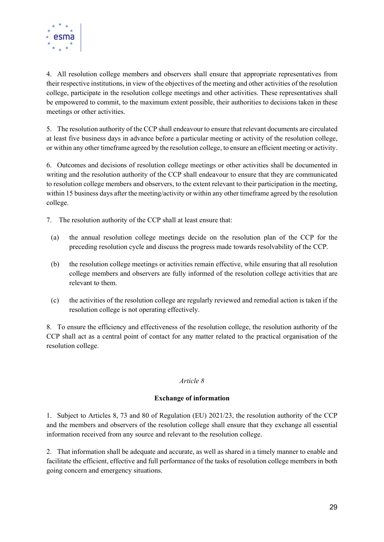

4. All resolution college members and observers shall ensure that appropriate representatives from their respective institutions, in view of the objectives of the meeting and other activities of the resolution college, participate in the resolution college meetings and other activities. These representatives shall be empowered to commit, to the maximum extent possible, their authorities to decisions taken in these meetings or other activities.

5. The resolution authority of the CCP shall endeavour to ensure that relevant documents are circulated at least five business days in advance before a particular meeting or activity of the resolution college, or within any other timeframe agreed by the resolution college, to ensure an efficient meeting or activity.

6. Outcomes and decisions of resolution college meetings or other activities shall be documented in writing and the resolution authority of the CCP shall endeavour to ensure that they are communicated to resolution college members and observers, to the extent relevant to their participation in the meeting, within 15 business days after the meeting/activity or within any other timeframe agreed by the resolution college.

- 7. The resolution authority of the CCP shall at least ensure that:
	- (a) the annual resolution college meetings decide on the resolution plan of the CCP for the preceding resolution cycle and discuss the progress made towards resolvability of the CCP.
	- (b) the resolution college meetings or activities remain effective, while ensuring that all resolution college members and observers are fully informed of the resolution college activities that are relevant to them.
	- (c) the activities of the resolution college are regularly reviewed and remedial action is taken if the resolution college is not operating effectively.

8. To ensure the efficiency and effectiveness of the resolution college, the resolution authority of the CCP shall act as a central point of contact for any matter related to the practical organisation of the resolution college.

#### Article 8

#### Exchange of information

1. Subject to Articles 8, 73 and 80 of Regulation (EU) 2021/23, the resolution authority of the CCP and the members and observers of the resolution college shall ensure that they exchange all essential information received from any source and relevant to the resolution college.

2. That information shall be adequate and accurate, as well as shared in a timely manner to enable and facilitate the efficient, effective and full performance of the tasks of resolution college members in both going concern and emergency situations.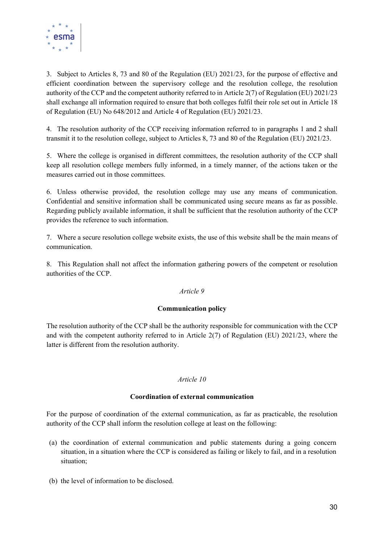

3. Subject to Articles 8, 73 and 80 of the Regulation (EU) 2021/23, for the purpose of effective and efficient coordination between the supervisory college and the resolution college, the resolution authority of the CCP and the competent authority referred to in Article 2(7) of Regulation (EU) 2021/23 shall exchange all information required to ensure that both colleges fulfil their role set out in Article 18 of Regulation (EU) No 648/2012 and Article 4 of Regulation (EU) 2021/23.

4. The resolution authority of the CCP receiving information referred to in paragraphs 1 and 2 shall transmit it to the resolution college, subject to Articles 8, 73 and 80 of the Regulation (EU) 2021/23.

5. Where the college is organised in different committees, the resolution authority of the CCP shall keep all resolution college members fully informed, in a timely manner, of the actions taken or the measures carried out in those committees.

6. Unless otherwise provided, the resolution college may use any means of communication. Confidential and sensitive information shall be communicated using secure means as far as possible. Regarding publicly available information, it shall be sufficient that the resolution authority of the CCP provides the reference to such information.

7. Where a secure resolution college website exists, the use of this website shall be the main means of communication.

8. This Regulation shall not affect the information gathering powers of the competent or resolution authorities of the CCP.

#### Article 9

#### Communication policy

The resolution authority of the CCP shall be the authority responsible for communication with the CCP and with the competent authority referred to in Article 2(7) of Regulation (EU) 2021/23, where the latter is different from the resolution authority.

#### Article 10

#### Coordination of external communication

For the purpose of coordination of the external communication, as far as practicable, the resolution authority of the CCP shall inform the resolution college at least on the following:

- (a) the coordination of external communication and public statements during a going concern situation, in a situation where the CCP is considered as failing or likely to fail, and in a resolution situation;
- (b) the level of information to be disclosed.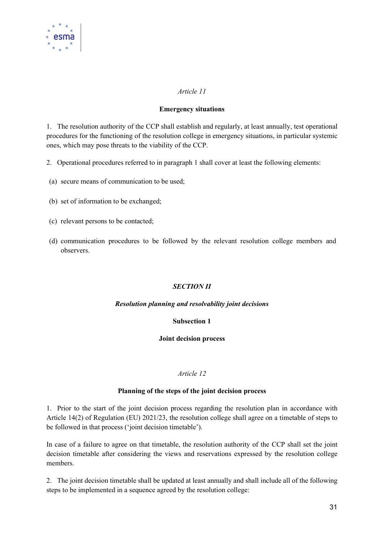

#### Emergency situations

1. The resolution authority of the CCP shall establish and regularly, at least annually, test operational procedures for the functioning of the resolution college in emergency situations, in particular systemic ones, which may pose threats to the viability of the CCP.

- 2. Operational procedures referred to in paragraph 1 shall cover at least the following elements:
- (a) secure means of communication to be used;
- (b) set of information to be exchanged;
- (c) relevant persons to be contacted;
- (d) communication procedures to be followed by the relevant resolution college members and observers.

#### SECTION II

#### Resolution planning and resolvability joint decisions

#### Subsection 1

#### Joint decision process

#### Article 12

#### Planning of the steps of the joint decision process

1. Prior to the start of the joint decision process regarding the resolution plan in accordance with Article 14(2) of Regulation (EU) 2021/23, the resolution college shall agree on a timetable of steps to be followed in that process ('joint decision timetable').

In case of a failure to agree on that timetable, the resolution authority of the CCP shall set the joint decision timetable after considering the views and reservations expressed by the resolution college members.

2. The joint decision timetable shall be updated at least annually and shall include all of the following steps to be implemented in a sequence agreed by the resolution college: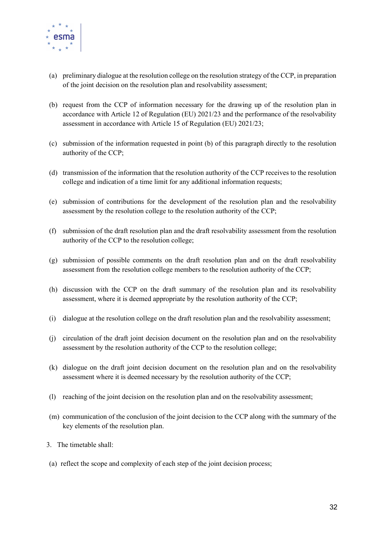

- (a) preliminary dialogue at the resolution college on the resolution strategy of the CCP, in preparation of the joint decision on the resolution plan and resolvability assessment;
- (b) request from the CCP of information necessary for the drawing up of the resolution plan in accordance with Article 12 of Regulation (EU) 2021/23 and the performance of the resolvability assessment in accordance with Article 15 of Regulation (EU) 2021/23;
- (c) submission of the information requested in point (b) of this paragraph directly to the resolution authority of the CCP;
- (d) transmission of the information that the resolution authority of the CCP receives to the resolution college and indication of a time limit for any additional information requests;
- (e) submission of contributions for the development of the resolution plan and the resolvability assessment by the resolution college to the resolution authority of the CCP;
- (f) submission of the draft resolution plan and the draft resolvability assessment from the resolution authority of the CCP to the resolution college;
- (g) submission of possible comments on the draft resolution plan and on the draft resolvability assessment from the resolution college members to the resolution authority of the CCP;
- (h) discussion with the CCP on the draft summary of the resolution plan and its resolvability assessment, where it is deemed appropriate by the resolution authority of the CCP;
- (i) dialogue at the resolution college on the draft resolution plan and the resolvability assessment;
- (j) circulation of the draft joint decision document on the resolution plan and on the resolvability assessment by the resolution authority of the CCP to the resolution college;
- (k) dialogue on the draft joint decision document on the resolution plan and on the resolvability assessment where it is deemed necessary by the resolution authority of the CCP;
- (l) reaching of the joint decision on the resolution plan and on the resolvability assessment;
- (m) communication of the conclusion of the joint decision to the CCP along with the summary of the key elements of the resolution plan.
- 3. The timetable shall:
- (a) reflect the scope and complexity of each step of the joint decision process;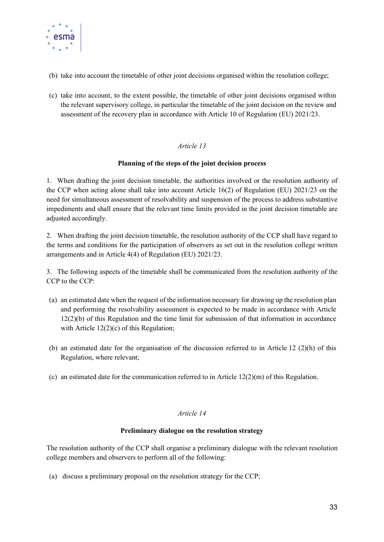

- (b) take into account the timetable of other joint decisions organised within the resolution college;
- (c) take into account, to the extent possible, the timetable of other joint decisions organised within the relevant supervisory college, in particular the timetable of the joint decision on the review and assessment of the recovery plan in accordance with Article 10 of Regulation (EU) 2021/23.

#### Planning of the steps of the joint decision process

1. When drafting the joint decision timetable, the authorities involved or the resolution authority of the CCP when acting alone shall take into account Article 16(2) of Regulation (EU) 2021/23 on the need for simultaneous assessment of resolvability and suspension of the process to address substantive impediments and shall ensure that the relevant time limits provided in the joint decision timetable are adjusted accordingly.

2. When drafting the joint decision timetable, the resolution authority of the CCP shall have regard to the terms and conditions for the participation of observers as set out in the resolution college written arrangements and in Article 4(4) of Regulation (EU) 2021/23.

3. The following aspects of the timetable shall be communicated from the resolution authority of the CCP to the CCP:

- (a) an estimated date when the request of the information necessary for drawing up the resolution plan and performing the resolvability assessment is expected to be made in accordance with Article  $12(2)(b)$  of this Regulation and the time limit for submission of that information in accordance with Article 12(2)(c) of this Regulation;
- (b) an estimated date for the organisation of the discussion referred to in Article 12 (2)(h) of this Regulation, where relevant;
- (c) an estimated date for the communication referred to in Article  $12(2)(m)$  of this Regulation.

#### Article 14

#### Preliminary dialogue on the resolution strategy

The resolution authority of the CCP shall organise a preliminary dialogue with the relevant resolution college members and observers to perform all of the following:

(a) discuss a preliminary proposal on the resolution strategy for the CCP;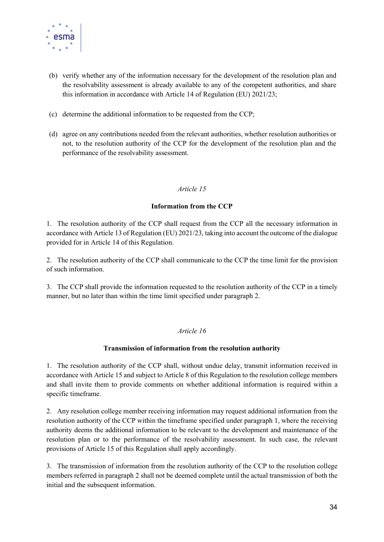

- (b) verify whether any of the information necessary for the development of the resolution plan and the resolvability assessment is already available to any of the competent authorities, and share this information in accordance with Article 14 of Regulation (EU) 2021/23;
- (c) determine the additional information to be requested from the CCP;
- (d) agree on any contributions needed from the relevant authorities, whether resolution authorities or not, to the resolution authority of the CCP for the development of the resolution plan and the performance of the resolvability assessment.

#### Information from the CCP

1. The resolution authority of the CCP shall request from the CCP all the necessary information in accordance with Article 13 of Regulation (EU) 2021/23, taking into account the outcome of the dialogue provided for in Article 14 of this Regulation.

2. The resolution authority of the CCP shall communicate to the CCP the time limit for the provision of such information.

3. The CCP shall provide the information requested to the resolution authority of the CCP in a timely manner, but no later than within the time limit specified under paragraph 2.

#### Article 16

#### Transmission of information from the resolution authority

1. The resolution authority of the CCP shall, without undue delay, transmit information received in accordance with Article 15 and subject to Article 8 of this Regulation to the resolution college members and shall invite them to provide comments on whether additional information is required within a specific timeframe.

2. Any resolution college member receiving information may request additional information from the resolution authority of the CCP within the timeframe specified under paragraph 1, where the receiving authority deems the additional information to be relevant to the development and maintenance of the resolution plan or to the performance of the resolvability assessment. In such case, the relevant provisions of Article 15 of this Regulation shall apply accordingly.

3. The transmission of information from the resolution authority of the CCP to the resolution college members referred in paragraph 2 shall not be deemed complete until the actual transmission of both the initial and the subsequent information.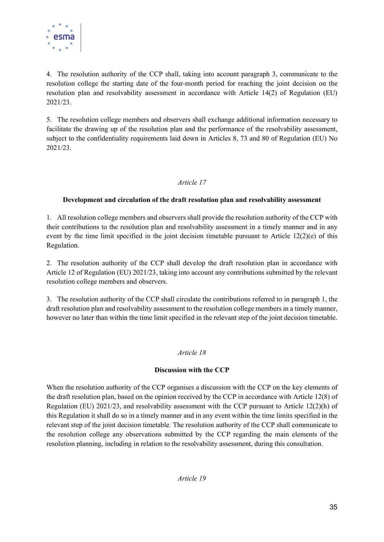

4. The resolution authority of the CCP shall, taking into account paragraph 3, communicate to the resolution college the starting date of the four-month period for reaching the joint decision on the resolution plan and resolvability assessment in accordance with Article 14(2) of Regulation (EU) 2021/23.

5. The resolution college members and observers shall exchange additional information necessary to facilitate the drawing up of the resolution plan and the performance of the resolvability assessment, subject to the confidentiality requirements laid down in Articles 8, 73 and 80 of Regulation (EU) No 2021/23.

#### Article 17

#### Development and circulation of the draft resolution plan and resolvability assessment

1. All resolution college members and observers shall provide the resolution authority of the CCP with their contributions to the resolution plan and resolvability assessment in a timely manner and in any event by the time limit specified in the joint decision timetable pursuant to Article 12(2)(e) of this Regulation.

2. The resolution authority of the CCP shall develop the draft resolution plan in accordance with Article 12 of Regulation (EU) 2021/23, taking into account any contributions submitted by the relevant resolution college members and observers.

3. The resolution authority of the CCP shall circulate the contributions referred to in paragraph 1, the draft resolution plan and resolvability assessment to the resolution college members in a timely manner, however no later than within the time limit specified in the relevant step of the joint decision timetable.

#### Article 18

#### Discussion with the CCP

When the resolution authority of the CCP organises a discussion with the CCP on the key elements of the draft resolution plan, based on the opinion received by the CCP in accordance with Article 12(8) of Regulation (EU) 2021/23, and resolvability assessment with the CCP pursuant to Article 12(2)(h) of this Regulation it shall do so in a timely manner and in any event within the time limits specified in the relevant step of the joint decision timetable. The resolution authority of the CCP shall communicate to the resolution college any observations submitted by the CCP regarding the main elements of the resolution planning, including in relation to the resolvability assessment, during this consultation.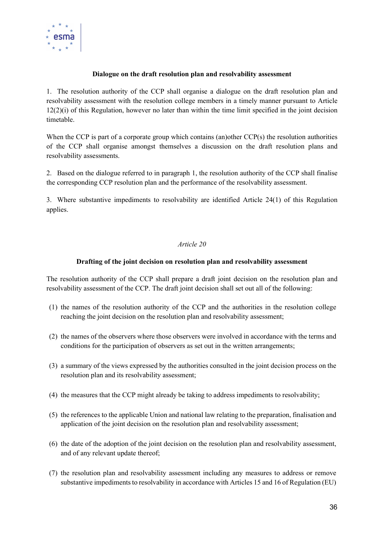

#### Dialogue on the draft resolution plan and resolvability assessment

1. The resolution authority of the CCP shall organise a dialogue on the draft resolution plan and resolvability assessment with the resolution college members in a timely manner pursuant to Article 12(2)(i) of this Regulation, however no later than within the time limit specified in the joint decision timetable.

When the CCP is part of a corporate group which contains (an)other CCP(s) the resolution authorities of the CCP shall organise amongst themselves a discussion on the draft resolution plans and resolvability assessments.

2. Based on the dialogue referred to in paragraph 1, the resolution authority of the CCP shall finalise the corresponding CCP resolution plan and the performance of the resolvability assessment.

3. Where substantive impediments to resolvability are identified Article 24(1) of this Regulation applies.

#### Article 20

#### Drafting of the joint decision on resolution plan and resolvability assessment

The resolution authority of the CCP shall prepare a draft joint decision on the resolution plan and resolvability assessment of the CCP. The draft joint decision shall set out all of the following:

- (1) the names of the resolution authority of the CCP and the authorities in the resolution college reaching the joint decision on the resolution plan and resolvability assessment;
- (2) the names of the observers where those observers were involved in accordance with the terms and conditions for the participation of observers as set out in the written arrangements;
- (3) a summary of the views expressed by the authorities consulted in the joint decision process on the resolution plan and its resolvability assessment;
- (4) the measures that the CCP might already be taking to address impediments to resolvability;
- (5) the references to the applicable Union and national law relating to the preparation, finalisation and application of the joint decision on the resolution plan and resolvability assessment;
- (6) the date of the adoption of the joint decision on the resolution plan and resolvability assessment, and of any relevant update thereof;
- (7) the resolution plan and resolvability assessment including any measures to address or remove substantive impediments to resolvability in accordance with Articles 15 and 16 of Regulation (EU)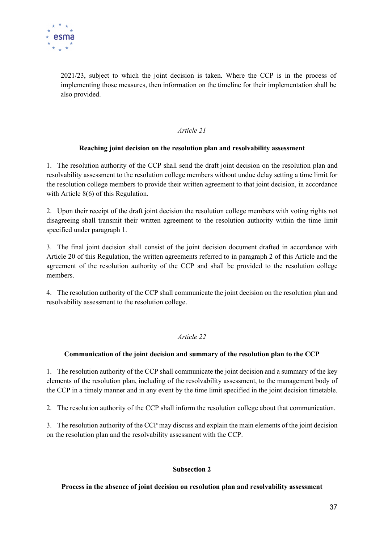

2021/23, subject to which the joint decision is taken. Where the CCP is in the process of implementing those measures, then information on the timeline for their implementation shall be also provided.

#### Article 21

#### Reaching joint decision on the resolution plan and resolvability assessment

1. The resolution authority of the CCP shall send the draft joint decision on the resolution plan and resolvability assessment to the resolution college members without undue delay setting a time limit for the resolution college members to provide their written agreement to that joint decision, in accordance with Article 8(6) of this Regulation.

2. Upon their receipt of the draft joint decision the resolution college members with voting rights not disagreeing shall transmit their written agreement to the resolution authority within the time limit specified under paragraph 1.

3. The final joint decision shall consist of the joint decision document drafted in accordance with Article 20 of this Regulation, the written agreements referred to in paragraph 2 of this Article and the agreement of the resolution authority of the CCP and shall be provided to the resolution college members.

4. The resolution authority of the CCP shall communicate the joint decision on the resolution plan and resolvability assessment to the resolution college.

#### Article 22

#### Communication of the joint decision and summary of the resolution plan to the CCP

1. The resolution authority of the CCP shall communicate the joint decision and a summary of the key elements of the resolution plan, including of the resolvability assessment, to the management body of the CCP in a timely manner and in any event by the time limit specified in the joint decision timetable.

2. The resolution authority of the CCP shall inform the resolution college about that communication.

3. The resolution authority of the CCP may discuss and explain the main elements of the joint decision on the resolution plan and the resolvability assessment with the CCP.

#### Subsection 2

#### Process in the absence of joint decision on resolution plan and resolvability assessment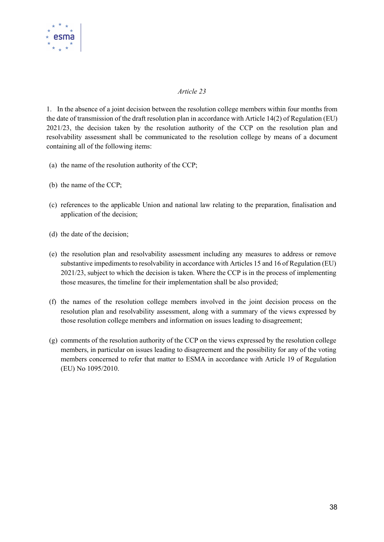

1. In the absence of a joint decision between the resolution college members within four months from the date of transmission of the draft resolution plan in accordance with Article 14(2) of Regulation (EU) 2021/23, the decision taken by the resolution authority of the CCP on the resolution plan and resolvability assessment shall be communicated to the resolution college by means of a document containing all of the following items:

- (a) the name of the resolution authority of the CCP;
- (b) the name of the CCP;
- (c) references to the applicable Union and national law relating to the preparation, finalisation and application of the decision;
- (d) the date of the decision;
- (e) the resolution plan and resolvability assessment including any measures to address or remove substantive impediments to resolvability in accordance with Articles 15 and 16 of Regulation (EU) 2021/23, subject to which the decision is taken. Where the CCP is in the process of implementing those measures, the timeline for their implementation shall be also provided;
- (f) the names of the resolution college members involved in the joint decision process on the resolution plan and resolvability assessment, along with a summary of the views expressed by those resolution college members and information on issues leading to disagreement;
- (g) comments of the resolution authority of the CCP on the views expressed by the resolution college members, in particular on issues leading to disagreement and the possibility for any of the voting members concerned to refer that matter to ESMA in accordance with Article 19 of Regulation (EU) No 1095/2010.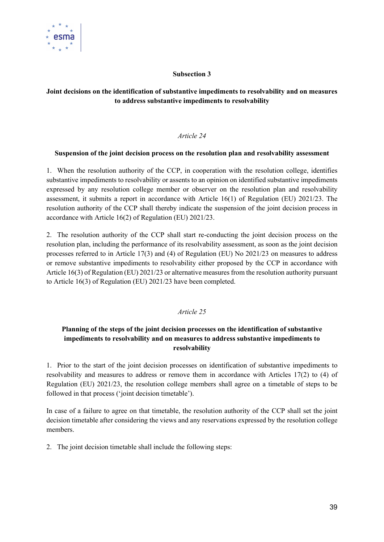

#### Subsection 3

#### Joint decisions on the identification of substantive impediments to resolvability and on measures to address substantive impediments to resolvability

#### Article 24

#### Suspension of the joint decision process on the resolution plan and resolvability assessment

1. When the resolution authority of the CCP, in cooperation with the resolution college, identifies substantive impediments to resolvability or assents to an opinion on identified substantive impediments expressed by any resolution college member or observer on the resolution plan and resolvability assessment, it submits a report in accordance with Article 16(1) of Regulation (EU) 2021/23. The resolution authority of the CCP shall thereby indicate the suspension of the joint decision process in accordance with Article 16(2) of Regulation (EU) 2021/23.

2. The resolution authority of the CCP shall start re-conducting the joint decision process on the resolution plan, including the performance of its resolvability assessment, as soon as the joint decision processes referred to in Article 17(3) and (4) of Regulation (EU) No 2021/23 on measures to address or remove substantive impediments to resolvability either proposed by the CCP in accordance with Article 16(3) of Regulation (EU) 2021/23 or alternative measures from the resolution authority pursuant to Article 16(3) of Regulation (EU) 2021/23 have been completed.

#### Article 25

#### Planning of the steps of the joint decision processes on the identification of substantive impediments to resolvability and on measures to address substantive impediments to resolvability

1. Prior to the start of the joint decision processes on identification of substantive impediments to resolvability and measures to address or remove them in accordance with Articles 17(2) to (4) of Regulation (EU) 2021/23, the resolution college members shall agree on a timetable of steps to be followed in that process ('joint decision timetable').

In case of a failure to agree on that timetable, the resolution authority of the CCP shall set the joint decision timetable after considering the views and any reservations expressed by the resolution college members.

2. The joint decision timetable shall include the following steps: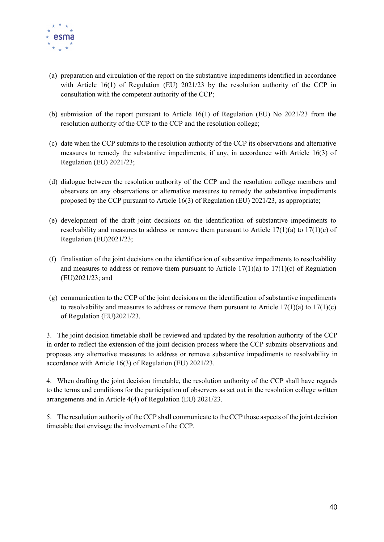

- (a) preparation and circulation of the report on the substantive impediments identified in accordance with Article 16(1) of Regulation (EU) 2021/23 by the resolution authority of the CCP in consultation with the competent authority of the CCP;
- (b) submission of the report pursuant to Article 16(1) of Regulation (EU) No 2021/23 from the resolution authority of the CCP to the CCP and the resolution college;
- (c) date when the CCP submits to the resolution authority of the CCP its observations and alternative measures to remedy the substantive impediments, if any, in accordance with Article 16(3) of Regulation (EU) 2021/23;
- (d) dialogue between the resolution authority of the CCP and the resolution college members and observers on any observations or alternative measures to remedy the substantive impediments proposed by the CCP pursuant to Article 16(3) of Regulation (EU) 2021/23, as appropriate;
- (e) development of the draft joint decisions on the identification of substantive impediments to resolvability and measures to address or remove them pursuant to Article  $17(1)(a)$  to  $17(1)(c)$  of Regulation (EU)2021/23;
- (f) finalisation of the joint decisions on the identification of substantive impediments to resolvability and measures to address or remove them pursuant to Article  $17(1)(a)$  to  $17(1)(c)$  of Regulation (EU)2021/23; and
- (g) communication to the CCP of the joint decisions on the identification of substantive impediments to resolvability and measures to address or remove them pursuant to Article  $17(1)(a)$  to  $17(1)(c)$ of Regulation (EU)2021/23.

3. The joint decision timetable shall be reviewed and updated by the resolution authority of the CCP in order to reflect the extension of the joint decision process where the CCP submits observations and proposes any alternative measures to address or remove substantive impediments to resolvability in accordance with Article 16(3) of Regulation (EU) 2021/23.

4. When drafting the joint decision timetable, the resolution authority of the CCP shall have regards to the terms and conditions for the participation of observers as set out in the resolution college written arrangements and in Article 4(4) of Regulation (EU) 2021/23.

5. The resolution authority of the CCP shall communicate to the CCP those aspects of the joint decision timetable that envisage the involvement of the CCP.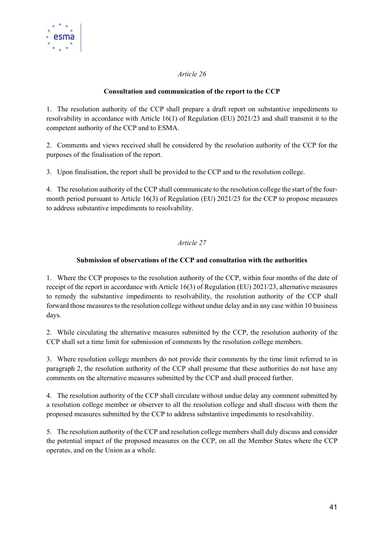

#### Consultation and communication of the report to the CCP

1. The resolution authority of the CCP shall prepare a draft report on substantive impediments to resolvability in accordance with Article 16(1) of Regulation (EU) 2021/23 and shall transmit it to the competent authority of the CCP and to ESMA.

2. Comments and views received shall be considered by the resolution authority of the CCP for the purposes of the finalisation of the report.

3. Upon finalisation, the report shall be provided to the CCP and to the resolution college.

4. The resolution authority of the CCP shall communicate to the resolution college the start of the fourmonth period pursuant to Article 16(3) of Regulation (EU) 2021/23 for the CCP to propose measures to address substantive impediments to resolvability.

#### Article 27

#### Submission of observations of the CCP and consultation with the authorities

1. Where the CCP proposes to the resolution authority of the CCP, within four months of the date of receipt of the report in accordance with Article 16(3) of Regulation (EU) 2021/23, alternative measures to remedy the substantive impediments to resolvability, the resolution authority of the CCP shall forward those measures to the resolution college without undue delay and in any case within 10 business days.

2. While circulating the alternative measures submitted by the CCP, the resolution authority of the CCP shall set a time limit for submission of comments by the resolution college members.

3. Where resolution college members do not provide their comments by the time limit referred to in paragraph 2, the resolution authority of the CCP shall presume that these authorities do not have any comments on the alternative measures submitted by the CCP and shall proceed further.

4. The resolution authority of the CCP shall circulate without undue delay any comment submitted by a resolution college member or observer to all the resolution college and shall discuss with them the proposed measures submitted by the CCP to address substantive impediments to resolvability.

5. The resolution authority of the CCP and resolution college members shall duly discuss and consider the potential impact of the proposed measures on the CCP, on all the Member States where the CCP operates, and on the Union as a whole.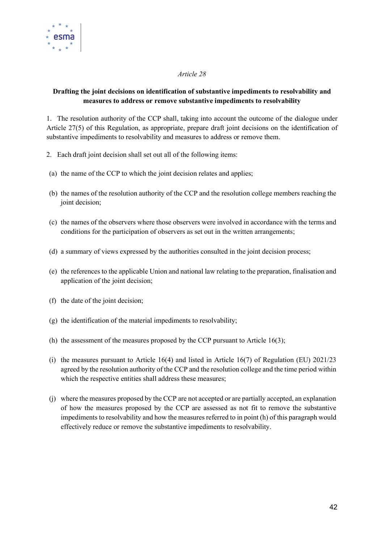

#### Drafting the joint decisions on identification of substantive impediments to resolvability and measures to address or remove substantive impediments to resolvability

1. The resolution authority of the CCP shall, taking into account the outcome of the dialogue under Article 27(5) of this Regulation, as appropriate, prepare draft joint decisions on the identification of substantive impediments to resolvability and measures to address or remove them.

- 2. Each draft joint decision shall set out all of the following items:
- (a) the name of the CCP to which the joint decision relates and applies;
- (b) the names of the resolution authority of the CCP and the resolution college members reaching the joint decision:
- (c) the names of the observers where those observers were involved in accordance with the terms and conditions for the participation of observers as set out in the written arrangements;
- (d) a summary of views expressed by the authorities consulted in the joint decision process;
- (e) the references to the applicable Union and national law relating to the preparation, finalisation and application of the joint decision;
- (f) the date of the joint decision;
- (g) the identification of the material impediments to resolvability;
- (h) the assessment of the measures proposed by the CCP pursuant to Article 16(3);
- (i) the measures pursuant to Article 16(4) and listed in Article 16(7) of Regulation (EU) 2021/23 agreed by the resolution authority of the CCP and the resolution college and the time period within which the respective entities shall address these measures;
- (j) where the measures proposed by the CCP are not accepted or are partially accepted, an explanation of how the measures proposed by the CCP are assessed as not fit to remove the substantive impediments to resolvability and how the measures referred to in point (h) of this paragraph would effectively reduce or remove the substantive impediments to resolvability.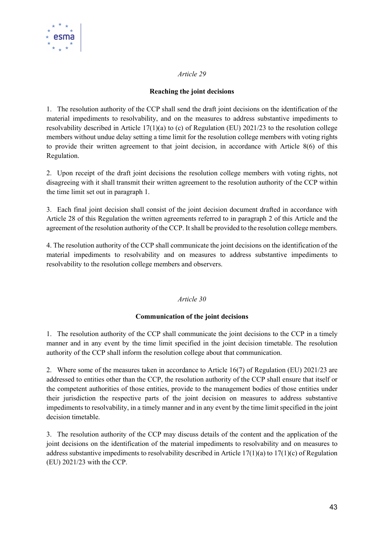

#### Reaching the joint decisions

1. The resolution authority of the CCP shall send the draft joint decisions on the identification of the material impediments to resolvability, and on the measures to address substantive impediments to resolvability described in Article 17(1)(a) to (c) of Regulation (EU) 2021/23 to the resolution college members without undue delay setting a time limit for the resolution college members with voting rights to provide their written agreement to that joint decision, in accordance with Article 8(6) of this Regulation.

2. Upon receipt of the draft joint decisions the resolution college members with voting rights, not disagreeing with it shall transmit their written agreement to the resolution authority of the CCP within the time limit set out in paragraph 1.

3. Each final joint decision shall consist of the joint decision document drafted in accordance with Article 28 of this Regulation the written agreements referred to in paragraph 2 of this Article and the agreement of the resolution authority of the CCP. It shall be provided to the resolution college members.

4. The resolution authority of the CCP shall communicate the joint decisions on the identification of the material impediments to resolvability and on measures to address substantive impediments to resolvability to the resolution college members and observers.

#### Article 30

#### Communication of the joint decisions

1. The resolution authority of the CCP shall communicate the joint decisions to the CCP in a timely manner and in any event by the time limit specified in the joint decision timetable. The resolution authority of the CCP shall inform the resolution college about that communication.

2. Where some of the measures taken in accordance to Article 16(7) of Regulation (EU) 2021/23 are addressed to entities other than the CCP, the resolution authority of the CCP shall ensure that itself or the competent authorities of those entities, provide to the management bodies of those entities under their jurisdiction the respective parts of the joint decision on measures to address substantive impediments to resolvability, in a timely manner and in any event by the time limit specified in the joint decision timetable.

3. The resolution authority of the CCP may discuss details of the content and the application of the joint decisions on the identification of the material impediments to resolvability and on measures to address substantive impediments to resolvability described in Article 17(1)(a) to 17(1)(c) of Regulation (EU) 2021/23 with the CCP.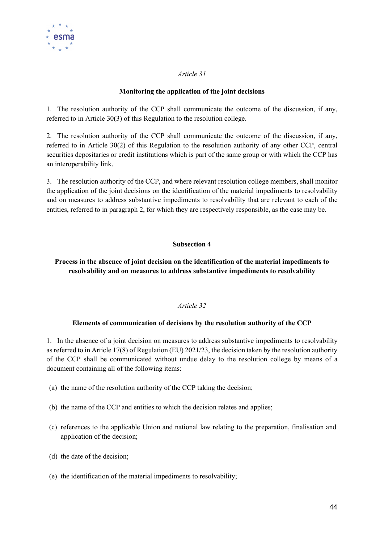

#### Monitoring the application of the joint decisions

1. The resolution authority of the CCP shall communicate the outcome of the discussion, if any, referred to in Article 30(3) of this Regulation to the resolution college.

2. The resolution authority of the CCP shall communicate the outcome of the discussion, if any, referred to in Article 30(2) of this Regulation to the resolution authority of any other CCP, central securities depositaries or credit institutions which is part of the same group or with which the CCP has an interoperability link.

3. The resolution authority of the CCP, and where relevant resolution college members, shall monitor the application of the joint decisions on the identification of the material impediments to resolvability and on measures to address substantive impediments to resolvability that are relevant to each of the entities, referred to in paragraph 2, for which they are respectively responsible, as the case may be.

#### Subsection 4

#### Process in the absence of joint decision on the identification of the material impediments to resolvability and on measures to address substantive impediments to resolvability

#### Article 32

#### Elements of communication of decisions by the resolution authority of the CCP

1. In the absence of a joint decision on measures to address substantive impediments to resolvability as referred to in Article 17(8) of Regulation (EU) 2021/23, the decision taken by the resolution authority of the CCP shall be communicated without undue delay to the resolution college by means of a document containing all of the following items:

- (a) the name of the resolution authority of the CCP taking the decision;
- (b) the name of the CCP and entities to which the decision relates and applies;
- (c) references to the applicable Union and national law relating to the preparation, finalisation and application of the decision;
- (d) the date of the decision;
- (e) the identification of the material impediments to resolvability;